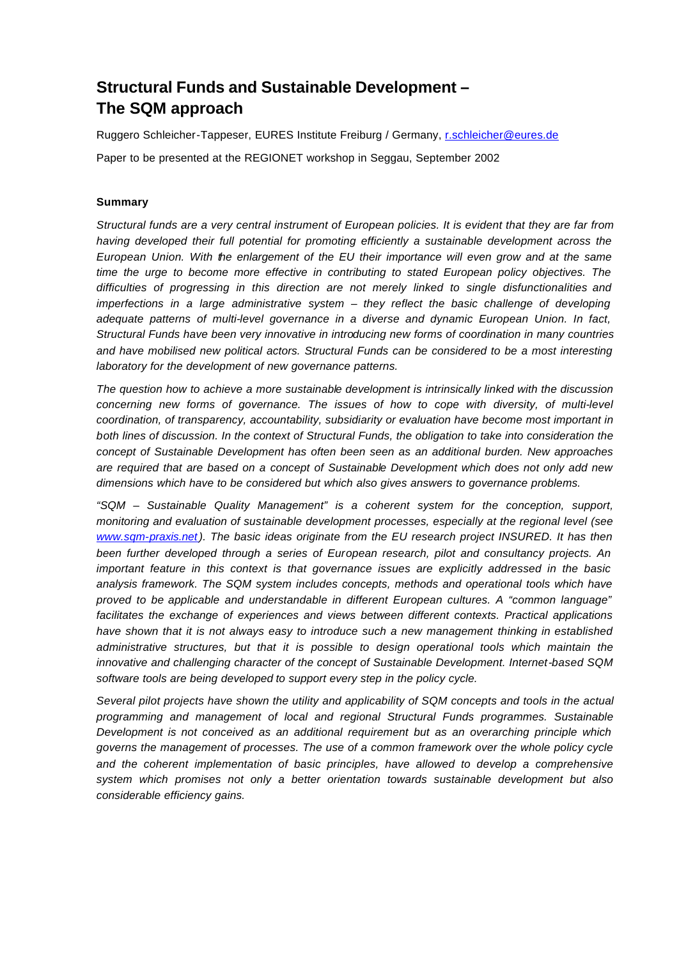# **Structural Funds and Sustainable Development – The SQM approach**

Ruggero Schleicher-Tappeser, EURES Institute Freiburg / Germany, r.schleicher@eures.de Paper to be presented at the REGIONET workshop in Seggau, September 2002

# **Summary**

*Structural funds are a very central instrument of European policies. It is evident that they are far from*  having developed their full potential for promoting efficiently a sustainable development across the *European Union. With the enlargement of the EU their importance will even grow and at the same time the urge to become more effective in contributing to stated European policy objectives. The difficulties of progressing in this direction are not merely linked to single disfunctionalities and imperfections in a large administrative system – they reflect the basic challenge of developing adequate patterns of multi-level governance in a diverse and dynamic European Union. In fact, Structural Funds have been very innovative in introducing new forms of coordination in many countries and have mobilised new political actors. Structural Funds can be considered to be a most interesting laboratory for the development of new governance patterns.*

*The question how to achieve a more sustainable development is intrinsically linked with the discussion*  concerning new forms of governance. The issues of how to cope with diversity, of multi-level *coordination, of transparency, accountability, subsidiarity or evaluation have become most important in both lines of discussion. In the context of Structural Funds, the obligation to take into consideration the concept of Sustainable Development has often been seen as an additional burden. New approaches are required that are based on a concept of Sustainable Development which does not only add new dimensions which have to be considered but which also gives answers to governance problems.* 

*"SQM – Sustainable Quality Management" is a coherent system for the conception, support, monitoring and evaluation of sustainable development processes, especially at the regional level (see www.sqm-praxis.net). The basic ideas originate from the EU research project INSURED. It has then been further developed through a series of European research, pilot and consultancy projects. An important feature in this context is that governance issues are explicitly addressed in the basic analysis framework. The SQM system includes concepts, methods and operational tools which have proved to be applicable and understandable in different European cultures. A "common language"*  facilitates the exchange of experiences and views between different contexts. Practical applications have shown that it is not always easy to introduce such a new management thinking in established *administrative structures, but that it is possible to design operational tools which maintain the innovative and challenging character of the concept of Sustainable Development. Internet-based SQM software tools are being developed to support every step in the policy cycle.* 

*Several pilot projects have shown the utility and applicability of SQM concepts and tools in the actual programming and management of local and regional Structural Funds programmes. Sustainable Development is not conceived as an additional requirement but as an overarching principle which governs the management of processes. The use of a common framework over the whole policy cycle and the coherent implementation of basic principles, have allowed to develop a comprehensive system which promises not only a better orientation towards sustainable development but also considerable efficiency gains.*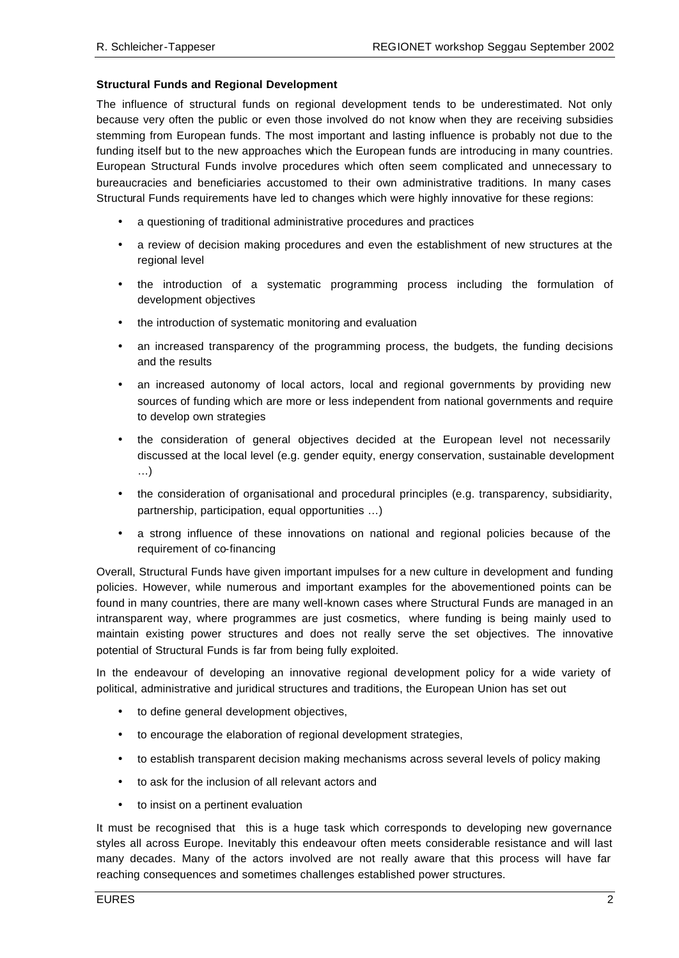# **Structural Funds and Regional Development**

The influence of structural funds on regional development tends to be underestimated. Not only because very often the public or even those involved do not know when they are receiving subsidies stemming from European funds. The most important and lasting influence is probably not due to the funding itself but to the new approaches which the European funds are introducing in many countries. European Structural Funds involve procedures which often seem complicated and unnecessary to bureaucracies and beneficiaries accustomed to their own administrative traditions. In many cases Structural Funds requirements have led to changes which were highly innovative for these regions:

- a questioning of traditional administrative procedures and practices
- a review of decision making procedures and even the establishment of new structures at the regional level
- the introduction of a systematic programming process including the formulation of development objectives
- the introduction of systematic monitoring and evaluation
- an increased transparency of the programming process, the budgets, the funding decisions and the results
- an increased autonomy of local actors, local and regional governments by providing new sources of funding which are more or less independent from national governments and require to develop own strategies
- the consideration of general objectives decided at the European level not necessarily discussed at the local level (e.g. gender equity, energy conservation, sustainable development …)
- the consideration of organisational and procedural principles (e.g. transparency, subsidiarity, partnership, participation, equal opportunities …)
- a strong influence of these innovations on national and regional policies because of the requirement of co-financing

Overall, Structural Funds have given important impulses for a new culture in development and funding policies. However, while numerous and important examples for the abovementioned points can be found in many countries, there are many well-known cases where Structural Funds are managed in an intransparent way, where programmes are just cosmetics, where funding is being mainly used to maintain existing power structures and does not really serve the set objectives. The innovative potential of Structural Funds is far from being fully exploited.

In the endeavour of developing an innovative regional development policy for a wide variety of political, administrative and juridical structures and traditions, the European Union has set out

- to define general development objectives,
- to encourage the elaboration of regional development strategies,
- to establish transparent decision making mechanisms across several levels of policy making
- to ask for the inclusion of all relevant actors and
- to insist on a pertinent evaluation

It must be recognised that this is a huge task which corresponds to developing new governance styles all across Europe. Inevitably this endeavour often meets considerable resistance and will last many decades. Many of the actors involved are not really aware that this process will have far reaching consequences and sometimes challenges established power structures.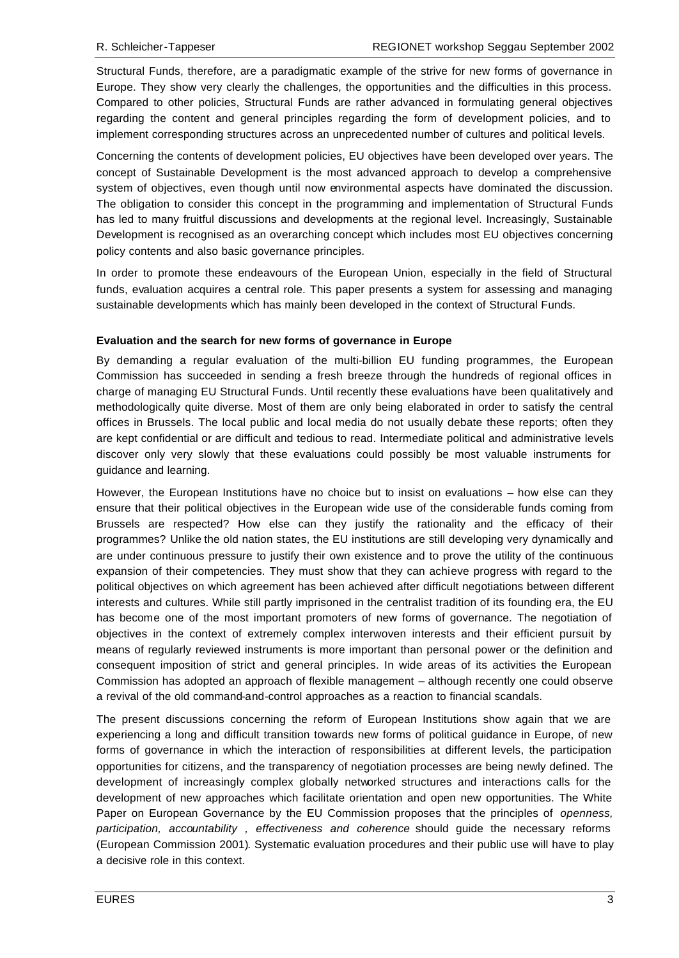Structural Funds, therefore, are a paradigmatic example of the strive for new forms of governance in Europe. They show very clearly the challenges, the opportunities and the difficulties in this process. Compared to other policies, Structural Funds are rather advanced in formulating general objectives regarding the content and general principles regarding the form of development policies, and to implement corresponding structures across an unprecedented number of cultures and political levels.

Concerning the contents of development policies, EU objectives have been developed over years. The concept of Sustainable Development is the most advanced approach to develop a comprehensive system of objectives, even though until now environmental aspects have dominated the discussion. The obligation to consider this concept in the programming and implementation of Structural Funds has led to many fruitful discussions and developments at the regional level. Increasingly, Sustainable Development is recognised as an overarching concept which includes most EU objectives concerning policy contents and also basic governance principles.

In order to promote these endeavours of the European Union, especially in the field of Structural funds, evaluation acquires a central role. This paper presents a system for assessing and managing sustainable developments which has mainly been developed in the context of Structural Funds.

# **Evaluation and the search for new forms of governance in Europe**

By demanding a regular evaluation of the multi-billion EU funding programmes, the European Commission has succeeded in sending a fresh breeze through the hundreds of regional offices in charge of managing EU Structural Funds. Until recently these evaluations have been qualitatively and methodologically quite diverse. Most of them are only being elaborated in order to satisfy the central offices in Brussels. The local public and local media do not usually debate these reports; often they are kept confidential or are difficult and tedious to read. Intermediate political and administrative levels discover only very slowly that these evaluations could possibly be most valuable instruments for guidance and learning.

However, the European Institutions have no choice but to insist on evaluations – how else can they ensure that their political objectives in the European wide use of the considerable funds coming from Brussels are respected? How else can they justify the rationality and the efficacy of their programmes? Unlike the old nation states, the EU institutions are still developing very dynamically and are under continuous pressure to justify their own existence and to prove the utility of the continuous expansion of their competencies. They must show that they can achieve progress with regard to the political objectives on which agreement has been achieved after difficult negotiations between different interests and cultures. While still partly imprisoned in the centralist tradition of its founding era, the EU has become one of the most important promoters of new forms of governance. The negotiation of objectives in the context of extremely complex interwoven interests and their efficient pursuit by means of regularly reviewed instruments is more important than personal power or the definition and consequent imposition of strict and general principles. In wide areas of its activities the European Commission has adopted an approach of flexible management – although recently one could observe a revival of the old command-and-control approaches as a reaction to financial scandals.

The present discussions concerning the reform of European Institutions show again that we are experiencing a long and difficult transition towards new forms of political guidance in Europe, of new forms of governance in which the interaction of responsibilities at different levels, the participation opportunities for citizens, and the transparency of negotiation processes are being newly defined. The development of increasingly complex globally networked structures and interactions calls for the development of new approaches which facilitate orientation and open new opportunities. The White Paper on European Governance by the EU Commission proposes that the principles of *openness, participation, accountability , effectiveness and coherence* should guide the necessary reforms (European Commission 2001). Systematic evaluation procedures and their public use will have to play a decisive role in this context.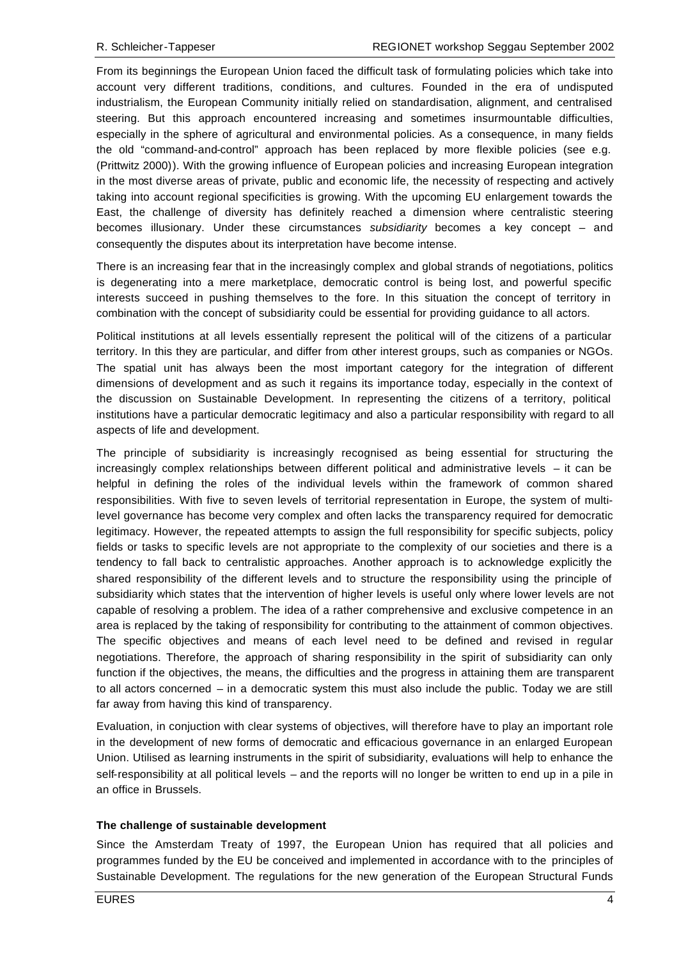From its beginnings the European Union faced the difficult task of formulating policies which take into account very different traditions, conditions, and cultures. Founded in the era of undisputed industrialism, the European Community initially relied on standardisation, alignment, and centralised steering. But this approach encountered increasing and sometimes insurmountable difficulties, especially in the sphere of agricultural and environmental policies. As a consequence, in many fields the old "command-and-control" approach has been replaced by more flexible policies (see e.g. (Prittwitz 2000)). With the growing influence of European policies and increasing European integration in the most diverse areas of private, public and economic life, the necessity of respecting and actively taking into account regional specificities is growing. With the upcoming EU enlargement towards the East, the challenge of diversity has definitely reached a dimension where centralistic steering becomes illusionary. Under these circumstances *subsidiarity* becomes a key concept – and consequently the disputes about its interpretation have become intense.

There is an increasing fear that in the increasingly complex and global strands of negotiations, politics is degenerating into a mere marketplace, democratic control is being lost, and powerful specific interests succeed in pushing themselves to the fore. In this situation the concept of territory in combination with the concept of subsidiarity could be essential for providing guidance to all actors.

Political institutions at all levels essentially represent the political will of the citizens of a particular territory. In this they are particular, and differ from other interest groups, such as companies or NGOs. The spatial unit has always been the most important category for the integration of different dimensions of development and as such it regains its importance today, especially in the context of the discussion on Sustainable Development. In representing the citizens of a territory, political institutions have a particular democratic legitimacy and also a particular responsibility with regard to all aspects of life and development.

The principle of subsidiarity is increasingly recognised as being essential for structuring the increasingly complex relationships between different political and administrative levels – it can be helpful in defining the roles of the individual levels within the framework of common shared responsibilities. With five to seven levels of territorial representation in Europe, the system of multilevel governance has become very complex and often lacks the transparency required for democratic legitimacy. However, the repeated attempts to assign the full responsibility for specific subjects, policy fields or tasks to specific levels are not appropriate to the complexity of our societies and there is a tendency to fall back to centralistic approaches. Another approach is to acknowledge explicitly the shared responsibility of the different levels and to structure the responsibility using the principle of subsidiarity which states that the intervention of higher levels is useful only where lower levels are not capable of resolving a problem. The idea of a rather comprehensive and exclusive competence in an area is replaced by the taking of responsibility for contributing to the attainment of common objectives. The specific objectives and means of each level need to be defined and revised in regular negotiations. Therefore, the approach of sharing responsibility in the spirit of subsidiarity can only function if the objectives, the means, the difficulties and the progress in attaining them are transparent to all actors concerned – in a democratic system this must also include the public. Today we are still far away from having this kind of transparency.

Evaluation, in conjuction with clear systems of objectives, will therefore have to play an important role in the development of new forms of democratic and efficacious governance in an enlarged European Union. Utilised as learning instruments in the spirit of subsidiarity, evaluations will help to enhance the self-responsibility at all political levels – and the reports will no longer be written to end up in a pile in an office in Brussels.

# **The challenge of sustainable development**

Since the Amsterdam Treaty of 1997, the European Union has required that all policies and programmes funded by the EU be conceived and implemented in accordance with to the principles of Sustainable Development. The regulations for the new generation of the European Structural Funds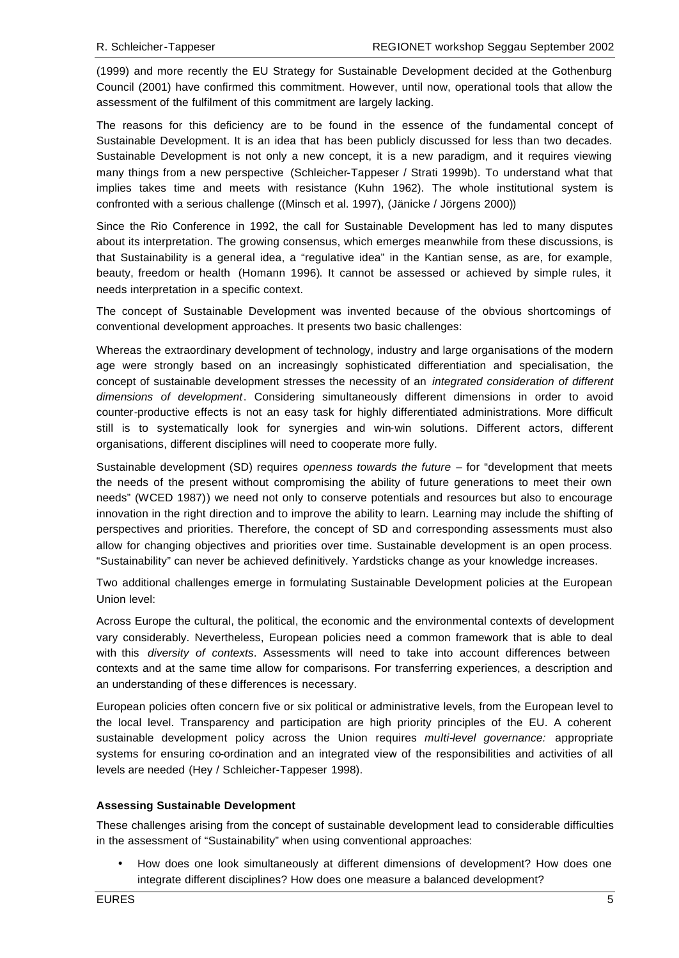(1999) and more recently the EU Strategy for Sustainable Development decided at the Gothenburg Council (2001) have confirmed this commitment. However, until now, operational tools that allow the assessment of the fulfilment of this commitment are largely lacking.

The reasons for this deficiency are to be found in the essence of the fundamental concept of Sustainable Development. It is an idea that has been publicly discussed for less than two decades. Sustainable Development is not only a new concept, it is a new paradigm, and it requires viewing many things from a new perspective (Schleicher-Tappeser / Strati 1999b). To understand what that implies takes time and meets with resistance (Kuhn 1962). The whole institutional system is confronted with a serious challenge ((Minsch et al. 1997), (Jänicke / Jörgens 2000))

Since the Rio Conference in 1992, the call for Sustainable Development has led to many disputes about its interpretation. The growing consensus, which emerges meanwhile from these discussions, is that Sustainability is a general idea, a "regulative idea" in the Kantian sense, as are, for example, beauty, freedom or health (Homann 1996). It cannot be assessed or achieved by simple rules, it needs interpretation in a specific context.

The concept of Sustainable Development was invented because of the obvious shortcomings of conventional development approaches. It presents two basic challenges:

Whereas the extraordinary development of technology, industry and large organisations of the modern age were strongly based on an increasingly sophisticated differentiation and specialisation, the concept of sustainable development stresses the necessity of an *integrated consideration of different dimensions of development*. Considering simultaneously different dimensions in order to avoid counter-productive effects is not an easy task for highly differentiated administrations. More difficult still is to systematically look for synergies and win-win solutions. Different actors, different organisations, different disciplines will need to cooperate more fully.

Sustainable development (SD) requires *openness towards the future* – for "development that meets the needs of the present without compromising the ability of future generations to meet their own needs" (WCED 1987)) we need not only to conserve potentials and resources but also to encourage innovation in the right direction and to improve the ability to learn. Learning may include the shifting of perspectives and priorities. Therefore, the concept of SD and corresponding assessments must also allow for changing objectives and priorities over time. Sustainable development is an open process. "Sustainability" can never be achieved definitively. Yardsticks change as your knowledge increases.

Two additional challenges emerge in formulating Sustainable Development policies at the European Union level:

Across Europe the cultural, the political, the economic and the environmental contexts of development vary considerably. Nevertheless, European policies need a common framework that is able to deal with this *diversity of contexts*. Assessments will need to take into account differences between contexts and at the same time allow for comparisons. For transferring experiences, a description and an understanding of these differences is necessary.

European policies often concern five or six political or administrative levels, from the European level to the local level. Transparency and participation are high priority principles of the EU. A coherent sustainable development policy across the Union requires *multi-level governance:* appropriate systems for ensuring co-ordination and an integrated view of the responsibilities and activities of all levels are needed (Hey / Schleicher-Tappeser 1998).

# **Assessing Sustainable Development**

These challenges arising from the concept of sustainable development lead to considerable difficulties in the assessment of "Sustainability" when using conventional approaches:

• How does one look simultaneously at different dimensions of development? How does one integrate different disciplines? How does one measure a balanced development?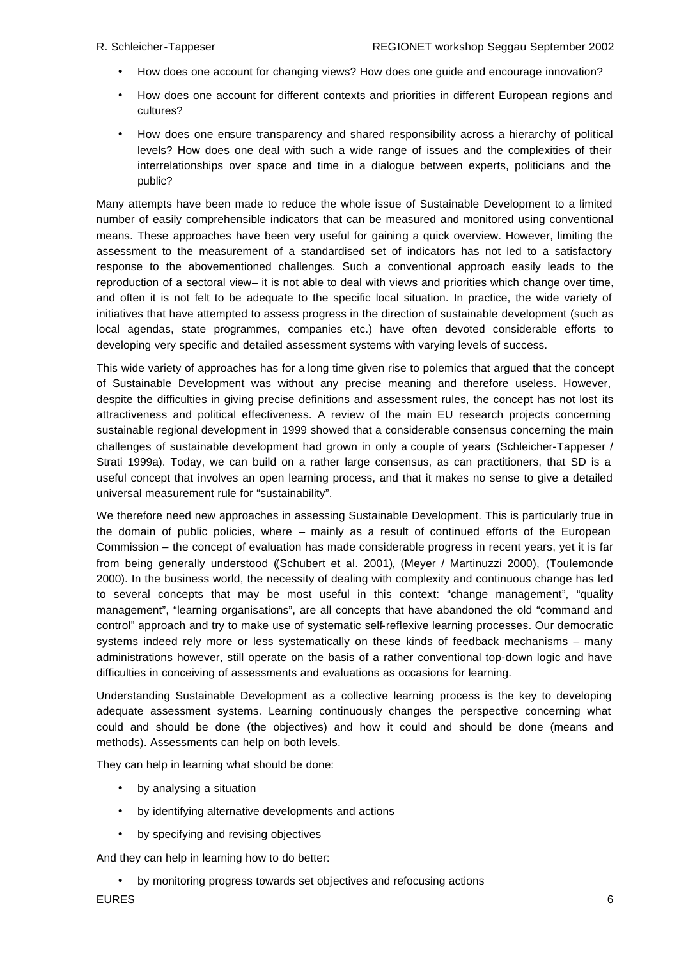- How does one account for changing views? How does one guide and encourage innovation?
- How does one account for different contexts and priorities in different European regions and cultures?
- How does one ensure transparency and shared responsibility across a hierarchy of political levels? How does one deal with such a wide range of issues and the complexities of their interrelationships over space and time in a dialogue between experts, politicians and the public?

Many attempts have been made to reduce the whole issue of Sustainable Development to a limited number of easily comprehensible indicators that can be measured and monitored using conventional means. These approaches have been very useful for gaining a quick overview. However, limiting the assessment to the measurement of a standardised set of indicators has not led to a satisfactory response to the abovementioned challenges. Such a conventional approach easily leads to the reproduction of a sectoral view– it is not able to deal with views and priorities which change over time, and often it is not felt to be adequate to the specific local situation. In practice, the wide variety of initiatives that have attempted to assess progress in the direction of sustainable development (such as local agendas, state programmes, companies etc.) have often devoted considerable efforts to developing very specific and detailed assessment systems with varying levels of success.

This wide variety of approaches has for a long time given rise to polemics that argued that the concept of Sustainable Development was without any precise meaning and therefore useless. However, despite the difficulties in giving precise definitions and assessment rules, the concept has not lost its attractiveness and political effectiveness. A review of the main EU research projects concerning sustainable regional development in 1999 showed that a considerable consensus concerning the main challenges of sustainable development had grown in only a couple of years (Schleicher-Tappeser / Strati 1999a). Today, we can build on a rather large consensus, as can practitioners, that SD is a useful concept that involves an open learning process, and that it makes no sense to give a detailed universal measurement rule for "sustainability".

We therefore need new approaches in assessing Sustainable Development. This is particularly true in the domain of public policies, where – mainly as a result of continued efforts of the European Commission – the concept of evaluation has made considerable progress in recent years, yet it is far from being generally understood ((Schubert et al. 2001), (Meyer / Martinuzzi 2000), (Toulemonde 2000). In the business world, the necessity of dealing with complexity and continuous change has led to several concepts that may be most useful in this context: "change management", "quality management", "learning organisations", are all concepts that have abandoned the old "command and control" approach and try to make use of systematic self-reflexive learning processes. Our democratic systems indeed rely more or less systematically on these kinds of feedback mechanisms – many administrations however, still operate on the basis of a rather conventional top-down logic and have difficulties in conceiving of assessments and evaluations as occasions for learning.

Understanding Sustainable Development as a collective learning process is the key to developing adequate assessment systems. Learning continuously changes the perspective concerning what could and should be done (the objectives) and how it could and should be done (means and methods). Assessments can help on both levels.

They can help in learning what should be done:

- by analysing a situation
- by identifying alternative developments and actions
- by specifying and revising objectives

And they can help in learning how to do better:

• by monitoring progress towards set objectives and refocusing actions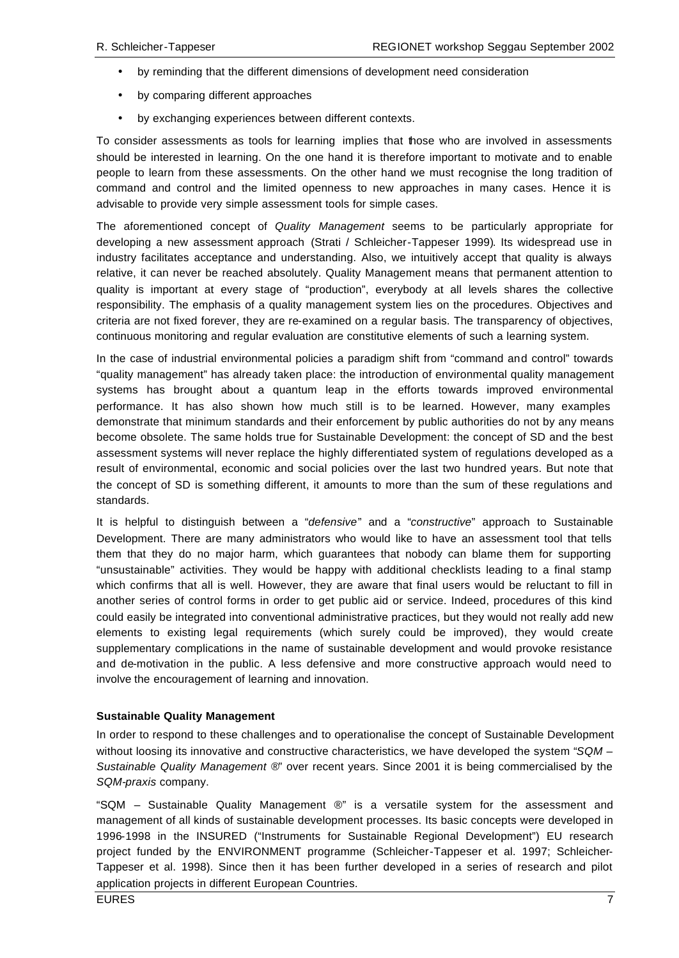- by reminding that the different dimensions of development need consideration
- by comparing different approaches
- by exchanging experiences between different contexts.

To consider assessments as tools for learning implies that those who are involved in assessments should be interested in learning. On the one hand it is therefore important to motivate and to enable people to learn from these assessments. On the other hand we must recognise the long tradition of command and control and the limited openness to new approaches in many cases. Hence it is advisable to provide very simple assessment tools for simple cases.

The aforementioned concept of *Quality Management* seems to be particularly appropriate for developing a new assessment approach (Strati / Schleicher-Tappeser 1999). Its widespread use in industry facilitates acceptance and understanding. Also, we intuitively accept that quality is always relative, it can never be reached absolutely. Quality Management means that permanent attention to quality is important at every stage of "production", everybody at all levels shares the collective responsibility. The emphasis of a quality management system lies on the procedures. Objectives and criteria are not fixed forever, they are re-examined on a regular basis. The transparency of objectives, continuous monitoring and regular evaluation are constitutive elements of such a learning system.

In the case of industrial environmental policies a paradigm shift from "command and control" towards "quality management" has already taken place: the introduction of environmental quality management systems has brought about a quantum leap in the efforts towards improved environmental performance. It has also shown how much still is to be learned. However, many examples demonstrate that minimum standards and their enforcement by public authorities do not by any means become obsolete. The same holds true for Sustainable Development: the concept of SD and the best assessment systems will never replace the highly differentiated system of regulations developed as a result of environmental, economic and social policies over the last two hundred years. But note that the concept of SD is something different, it amounts to more than the sum of these regulations and standards.

It is helpful to distinguish between a "*defensive*" and a "*constructive*" approach to Sustainable Development. There are many administrators who would like to have an assessment tool that tells them that they do no major harm, which guarantees that nobody can blame them for supporting "unsustainable" activities. They would be happy with additional checklists leading to a final stamp which confirms that all is well. However, they are aware that final users would be reluctant to fill in another series of control forms in order to get public aid or service. Indeed, procedures of this kind could easily be integrated into conventional administrative practices, but they would not really add new elements to existing legal requirements (which surely could be improved), they would create supplementary complications in the name of sustainable development and would provoke resistance and de-motivation in the public. A less defensive and more constructive approach would need to involve the encouragement of learning and innovation.

# **Sustainable Quality Management**

In order to respond to these challenges and to operationalise the concept of Sustainable Development without loosing its innovative and constructive characteristics, we have developed the system "*SQM – Sustainable Quality Management ®*" over recent years. Since 2001 it is being commercialised by the *SQM-praxis* company.

"SQM – Sustainable Quality Management ®" is a versatile system for the assessment and management of all kinds of sustainable development processes. Its basic concepts were developed in 1996-1998 in the INSURED ("Instruments for Sustainable Regional Development") EU research project funded by the ENVIRONMENT programme (Schleicher-Tappeser et al. 1997; Schleicher-Tappeser et al. 1998). Since then it has been further developed in a series of research and pilot application projects in different European Countries.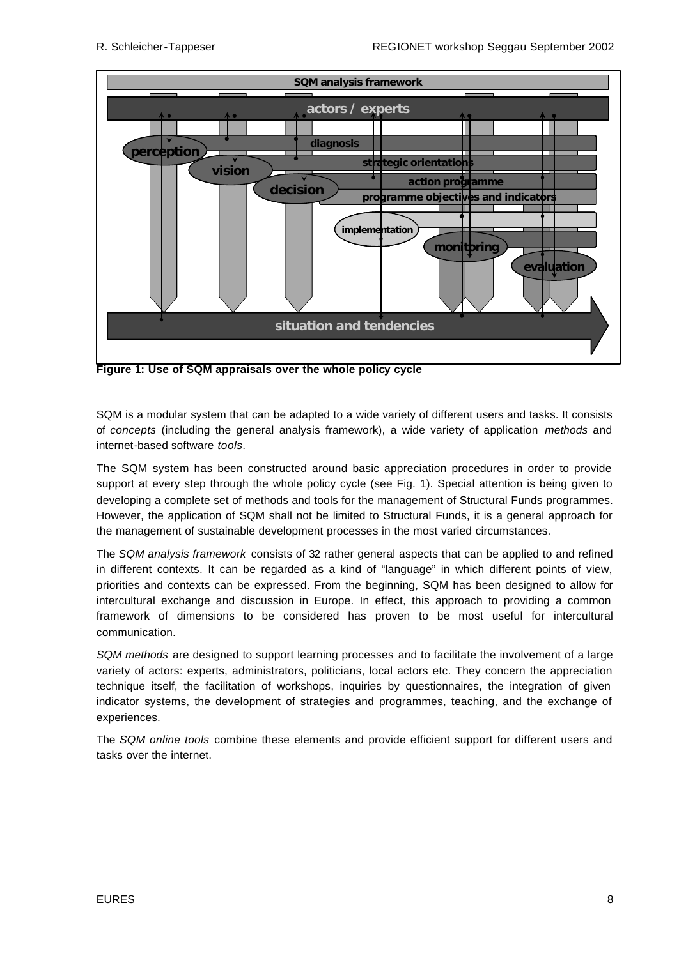

**Figure 1: Use of SQM appraisals over the whole policy cycle** 

SQM is a modular system that can be adapted to a wide variety of different users and tasks. It consists of *concepts* (including the general analysis framework), a wide variety of application *methods* and internet-based software *tools*.

The SQM system has been constructed around basic appreciation procedures in order to provide support at every step through the whole policy cycle (see Fig. 1). Special attention is being given to developing a complete set of methods and tools for the management of Structural Funds programmes. However, the application of SQM shall not be limited to Structural Funds, it is a general approach for the management of sustainable development processes in the most varied circumstances.

The *SQM analysis framework* consists of 32 rather general aspects that can be applied to and refined in different contexts. It can be regarded as a kind of "language" in which different points of view, priorities and contexts can be expressed. From the beginning, SQM has been designed to allow for intercultural exchange and discussion in Europe. In effect, this approach to providing a common framework of dimensions to be considered has proven to be most useful for intercultural communication.

*SQM methods* are designed to support learning processes and to facilitate the involvement of a large variety of actors: experts, administrators, politicians, local actors etc. They concern the appreciation technique itself, the facilitation of workshops, inquiries by questionnaires, the integration of given indicator systems, the development of strategies and programmes, teaching, and the exchange of experiences.

The *SQM online tools* combine these elements and provide efficient support for different users and tasks over the internet.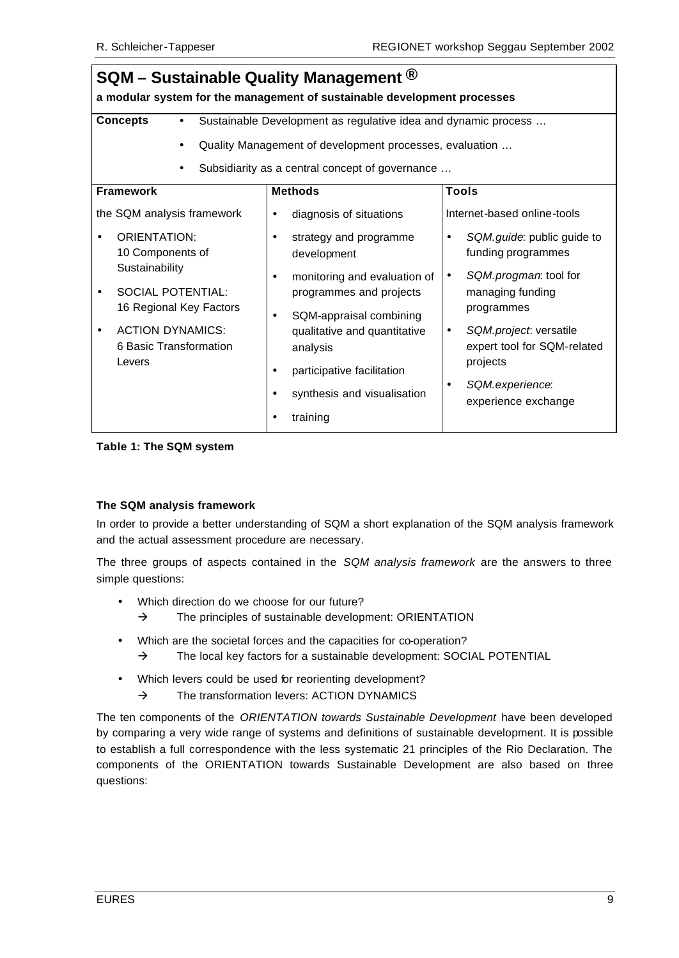| <b>SQM</b> – Sustainable Quality Management $^{\circledR}$<br>a modular system for the management of sustainable development processes                                |                                                                                                                           |                                                                    |  |  |  |  |  |
|-----------------------------------------------------------------------------------------------------------------------------------------------------------------------|---------------------------------------------------------------------------------------------------------------------------|--------------------------------------------------------------------|--|--|--|--|--|
| <b>Concepts</b>                                                                                                                                                       | Sustainable Development as regulative idea and dynamic process<br>Quality Management of development processes, evaluation |                                                                    |  |  |  |  |  |
| Subsidiarity as a central concept of governance                                                                                                                       |                                                                                                                           |                                                                    |  |  |  |  |  |
| <b>Framework</b>                                                                                                                                                      | <b>Methods</b>                                                                                                            | <b>Tools</b>                                                       |  |  |  |  |  |
| the SQM analysis framework                                                                                                                                            | diagnosis of situations<br>$\bullet$                                                                                      | Internet-based online-tools                                        |  |  |  |  |  |
| <b>ORIENTATION:</b><br>10 Components of<br>Sustainability<br><b>SOCIAL POTENTIAL:</b><br>16 Regional Key Factors<br><b>ACTION DYNAMICS:</b><br>6 Basic Transformation | strategy and programme<br>development                                                                                     | SQM.guide: public guide to<br>funding programmes                   |  |  |  |  |  |
|                                                                                                                                                                       | monitoring and evaluation of<br>$\bullet$<br>programmes and projects                                                      | SQM.progman: tool for<br>managing funding                          |  |  |  |  |  |
|                                                                                                                                                                       | SQM-appraisal combining<br>$\bullet$                                                                                      | programmes                                                         |  |  |  |  |  |
|                                                                                                                                                                       | qualitative and quantitative<br>analysis<br>participative facilitation                                                    | SQM.project: versatile<br>$\bullet$<br>expert tool for SQM-related |  |  |  |  |  |
| Levers                                                                                                                                                                |                                                                                                                           | projects                                                           |  |  |  |  |  |
|                                                                                                                                                                       | synthesis and visualisation<br>$\bullet$                                                                                  | SQM.experience:<br>experience exchange                             |  |  |  |  |  |
|                                                                                                                                                                       | training                                                                                                                  |                                                                    |  |  |  |  |  |

**Table 1: The SQM system**

# **The SQM analysis framework**

In order to provide a better understanding of SQM a short explanation of the SQM analysis framework and the actual assessment procedure are necessary.

The three groups of aspects contained in the *SQM analysis framework* are the answers to three simple questions:

- Which direction do we choose for our future?
	- $\rightarrow$  The principles of sustainable development: ORIENTATION
- Which are the societal forces and the capacities for co-operation?  $\rightarrow$  The local key factors for a sustainable development: SOCIAL POTENTIAL
- Which levers could be used for reorienting development?
	- $\rightarrow$  The transformation levers: ACTION DYNAMICS

The ten components of the *ORIENTATION towards Sustainable Development* have been developed by comparing a very wide range of systems and definitions of sustainable development. It is possible to establish a full correspondence with the less systematic 21 principles of the Rio Declaration. The components of the ORIENTATION towards Sustainable Development are also based on three questions: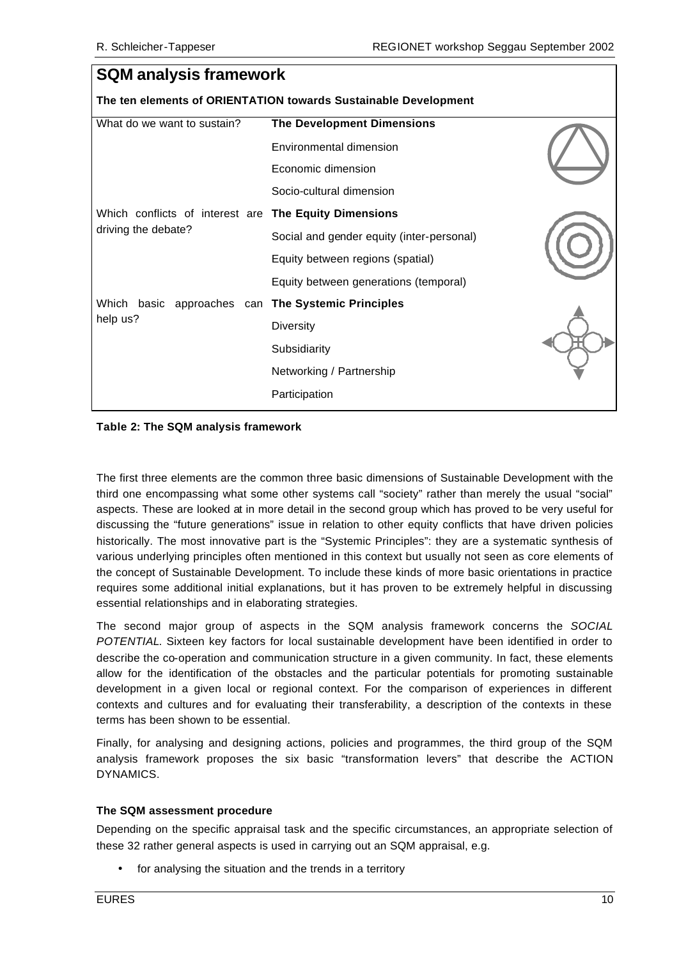# **SQM analysis framework**

| The ten elements of ORIENTATION towards Sustainable Development |  |
|-----------------------------------------------------------------|--|
|-----------------------------------------------------------------|--|

| What do we want to sustain?                           | <b>The Development Dimensions</b>            |
|-------------------------------------------------------|----------------------------------------------|
|                                                       | Environmental dimension                      |
|                                                       | Economic dimension                           |
|                                                       | Socio-cultural dimension                     |
| Which conflicts of interest are The Equity Dimensions |                                              |
| driving the debate?                                   | Social and gender equity (inter-personal)    |
|                                                       | Equity between regions (spatial)             |
|                                                       | Equity between generations (temporal)        |
| Which                                                 | basic approaches can The Systemic Principles |
| help us?                                              | <b>Diversity</b>                             |
|                                                       | Subsidiarity                                 |
|                                                       | Networking / Partnership                     |
|                                                       | Participation                                |
|                                                       |                                              |

#### **Table 2: The SQM analysis framework**

The first three elements are the common three basic dimensions of Sustainable Development with the third one encompassing what some other systems call "society" rather than merely the usual "social" aspects. These are looked at in more detail in the second group which has proved to be very useful for discussing the "future generations" issue in relation to other equity conflicts that have driven policies historically. The most innovative part is the "Systemic Principles": they are a systematic synthesis of various underlying principles often mentioned in this context but usually not seen as core elements of the concept of Sustainable Development. To include these kinds of more basic orientations in practice requires some additional initial explanations, but it has proven to be extremely helpful in discussing essential relationships and in elaborating strategies.

The second major group of aspects in the SQM analysis framework concerns the *SOCIAL POTENTIAL*. Sixteen key factors for local sustainable development have been identified in order to describe the co-operation and communication structure in a given community. In fact, these elements allow for the identification of the obstacles and the particular potentials for promoting sustainable development in a given local or regional context. For the comparison of experiences in different contexts and cultures and for evaluating their transferability, a description of the contexts in these terms has been shown to be essential.

Finally, for analysing and designing actions, policies and programmes, the third group of the SQM analysis framework proposes the six basic "transformation levers" that describe the ACTION DYNAMICS.

# **The SQM assessment procedure**

Depending on the specific appraisal task and the specific circumstances, an appropriate selection of these 32 rather general aspects is used in carrying out an SQM appraisal, e.g.

for analysing the situation and the trends in a territory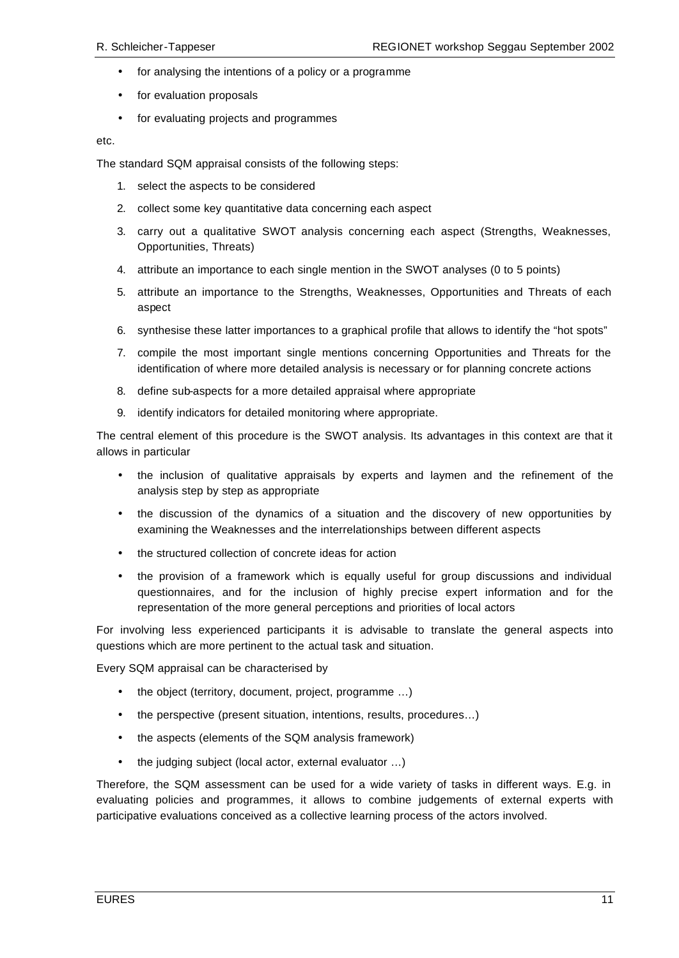- for analysing the intentions of a policy or a programme
- for evaluation proposals
- for evaluating projects and programmes

etc.

The standard SQM appraisal consists of the following steps:

- 1. select the aspects to be considered
- 2. collect some key quantitative data concerning each aspect
- 3. carry out a qualitative SWOT analysis concerning each aspect (Strengths, Weaknesses, Opportunities, Threats)
- 4. attribute an importance to each single mention in the SWOT analyses (0 to 5 points)
- 5. attribute an importance to the Strengths, Weaknesses, Opportunities and Threats of each aspect
- 6. synthesise these latter importances to a graphical profile that allows to identify the "hot spots"
- 7. compile the most important single mentions concerning Opportunities and Threats for the identification of where more detailed analysis is necessary or for planning concrete actions
- 8. define sub-aspects for a more detailed appraisal where appropriate
- 9. identify indicators for detailed monitoring where appropriate.

The central element of this procedure is the SWOT analysis. Its advantages in this context are that it allows in particular

- the inclusion of qualitative appraisals by experts and laymen and the refinement of the analysis step by step as appropriate
- the discussion of the dynamics of a situation and the discovery of new opportunities by examining the Weaknesses and the interrelationships between different aspects
- the structured collection of concrete ideas for action
- the provision of a framework which is equally useful for group discussions and individual questionnaires, and for the inclusion of highly precise expert information and for the representation of the more general perceptions and priorities of local actors

For involving less experienced participants it is advisable to translate the general aspects into questions which are more pertinent to the actual task and situation.

Every SQM appraisal can be characterised by

- the object (territory, document, project, programme ...)
- the perspective (present situation, intentions, results, procedures…)
- the aspects (elements of the SQM analysis framework)
- the judging subject (local actor, external evaluator ...)

Therefore, the SQM assessment can be used for a wide variety of tasks in different ways. E.g. in evaluating policies and programmes, it allows to combine judgements of external experts with participative evaluations conceived as a collective learning process of the actors involved.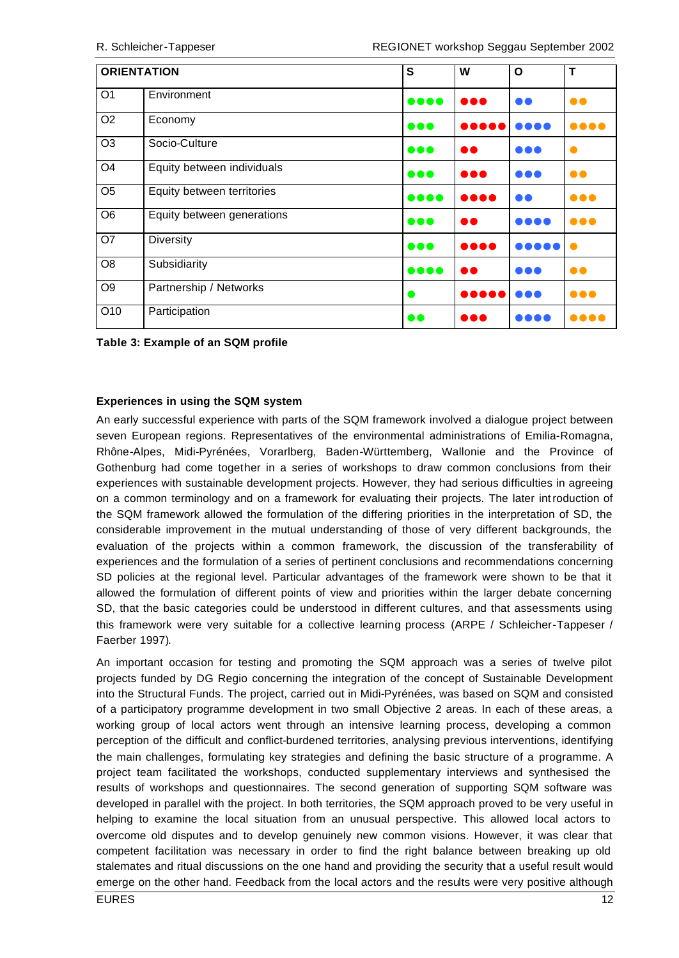|                 | <b>ORIENTATION</b>         | S                              | W                              | O                       | Т                              |
|-----------------|----------------------------|--------------------------------|--------------------------------|-------------------------|--------------------------------|
| O <sub>1</sub>  | Environment                | $\bullet\bullet\bullet\bullet$ | $\bullet\bullet\bullet$        | 88                      | $\bullet\bullet$               |
| O <sub>2</sub>  | Economy                    | $\bullet\bullet\bullet$        |                                |                         | $\bullet\bullet\bullet\bullet$ |
| $\overline{O3}$ | Socio-Culture              | $\bullet\bullet\bullet$        | o o                            |                         | O                              |
| O <sub>4</sub>  | Equity between individuals | $\bullet\bullet\bullet$        | $\bullet\bullet\bullet$        | $\bullet\bullet\bullet$ | $\bullet\bullet$               |
| O <sub>5</sub>  | Equity between territories | $\bullet\bullet\bullet\bullet$ | $\bullet\bullet\bullet\bullet$ | <b></b>                 | $\bullet\bullet\bullet$        |
| O <sub>6</sub>  | Equity between generations | $\bullet\bullet\bullet$        |                                | 0000                    | $\bullet\bullet\bullet$        |
| O <sub>7</sub>  | Diversity                  | $\bullet\bullet\bullet$        |                                |                         | $\blacksquare$                 |
| O <sub>8</sub>  | Subsidiarity               | $\bullet\bullet\bullet\bullet$ | $\bullet\bullet$               | $\bullet\bullet\bullet$ | $\bullet\bullet$               |
| O <sub>9</sub>  | Partnership / Networks     | $\bullet$                      | <b> </b>                       |                         | $\bullet\bullet\bullet$        |
| O <sub>10</sub> | Participation              |                                |                                | <u>, a a a</u>          |                                |

**Table 3: Example of an SQM profile**

#### **Experiences in using the SQM system**

An early successful experience with parts of the SQM framework involved a dialogue project between seven European regions. Representatives of the environmental administrations of Emilia-Romagna, Rhône-Alpes, Midi-Pyrénées, Vorarlberg, Baden-Württemberg, Wallonie and the Province of Gothenburg had come together in a series of workshops to draw common conclusions from their experiences with sustainable development projects. However, they had serious difficulties in agreeing on a common terminology and on a framework for evaluating their projects. The later introduction of the SQM framework allowed the formulation of the differing priorities in the interpretation of SD, the considerable improvement in the mutual understanding of those of very different backgrounds, the evaluation of the projects within a common framework, the discussion of the transferability of experiences and the formulation of a series of pertinent conclusions and recommendations concerning SD policies at the regional level. Particular advantages of the framework were shown to be that it allowed the formulation of different points of view and priorities within the larger debate concerning SD, that the basic categories could be understood in different cultures, and that assessments using this framework were very suitable for a collective learning process (ARPE / Schleicher-Tappeser / Faerber 1997).

An important occasion for testing and promoting the SQM approach was a series of twelve pilot projects funded by DG Regio concerning the integration of the concept of Sustainable Development into the Structural Funds. The project, carried out in Midi-Pyrénées, was based on SQM and consisted of a participatory programme development in two small Objective 2 areas. In each of these areas, a working group of local actors went through an intensive learning process, developing a common perception of the difficult and conflict-burdened territories, analysing previous interventions, identifying the main challenges, formulating key strategies and defining the basic structure of a programme. A project team facilitated the workshops, conducted supplementary interviews and synthesised the results of workshops and questionnaires. The second generation of supporting SQM software was developed in parallel with the project. In both territories, the SQM approach proved to be very useful in helping to examine the local situation from an unusual perspective. This allowed local actors to overcome old disputes and to develop genuinely new common visions. However, it was clear that competent facilitation was necessary in order to find the right balance between breaking up old stalemates and ritual discussions on the one hand and providing the security that a useful result would emerge on the other hand. Feedback from the local actors and the results were very positive although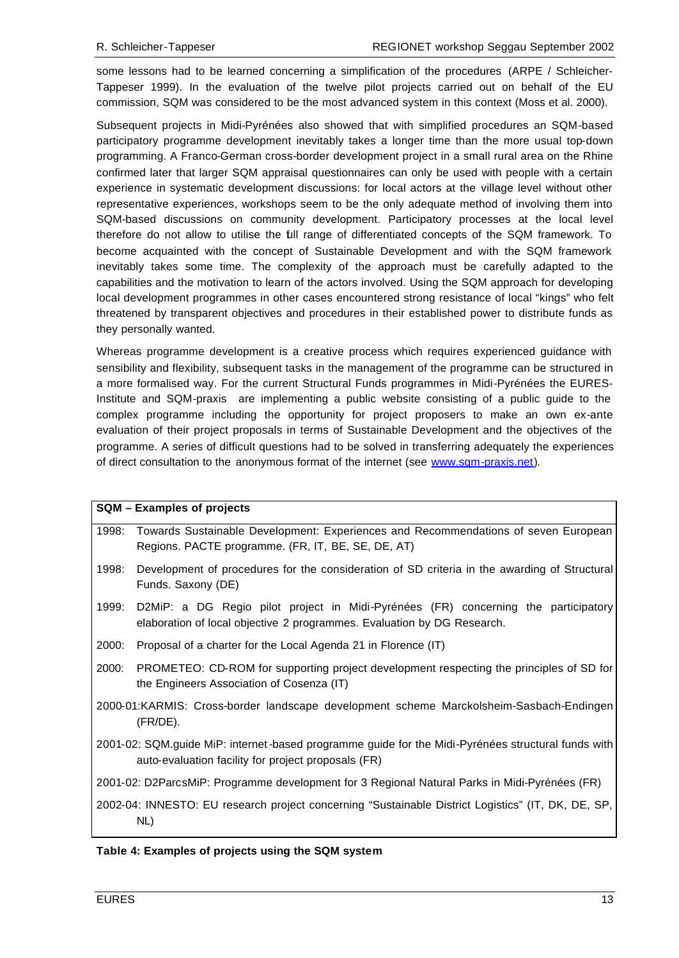some lessons had to be learned concerning a simplification of the procedures (ARPE / Schleicher-Tappeser 1999). In the evaluation of the twelve pilot projects carried out on behalf of the EU commission, SQM was considered to be the most advanced system in this context (Moss et al. 2000).

Subsequent projects in Midi-Pyrénées also showed that with simplified procedures an SQM-based participatory programme development inevitably takes a longer time than the more usual top-down programming. A Franco-German cross-border development project in a small rural area on the Rhine confirmed later that larger SQM appraisal questionnaires can only be used with people with a certain experience in systematic development discussions: for local actors at the village level without other representative experiences, workshops seem to be the only adequate method of involving them into SQM-based discussions on community development. Participatory processes at the local level therefore do not allow to utilise the full range of differentiated concepts of the SQM framework. To become acquainted with the concept of Sustainable Development and with the SQM framework inevitably takes some time. The complexity of the approach must be carefully adapted to the capabilities and the motivation to learn of the actors involved. Using the SQM approach for developing local development programmes in other cases encountered strong resistance of local "kings" who felt threatened by transparent objectives and procedures in their established power to distribute funds as they personally wanted.

Whereas programme development is a creative process which requires experienced guidance with sensibility and flexibility, subsequent tasks in the management of the programme can be structured in a more formalised way. For the current Structural Funds programmes in Midi-Pyrénées the EURES-Institute and SQM-praxis are implementing a public website consisting of a public guide to the complex programme including the opportunity for project proposers to make an own ex-ante evaluation of their project proposals in terms of Sustainable Development and the objectives of the programme. A series of difficult questions had to be solved in transferring adequately the experiences of direct consultation to the anonymous format of the internet (see www.sqm-praxis.net).

|                                                                                                        | <b>SQM - Examples of projects</b>                                                                                                                             |  |
|--------------------------------------------------------------------------------------------------------|---------------------------------------------------------------------------------------------------------------------------------------------------------------|--|
| 1998:                                                                                                  | Towards Sustainable Development: Experiences and Recommendations of seven European<br>Regions. PACTE programme. (FR, IT, BE, SE, DE, AT)                      |  |
| 1998:                                                                                                  | Development of procedures for the consideration of SD criteria in the awarding of Structural<br>Funds. Saxony (DE)                                            |  |
| 1999:                                                                                                  | D2MiP: a DG Regio pilot project in Midi-Pyrénées (FR) concerning the participatory<br>elaboration of local objective 2 programmes. Evaluation by DG Research. |  |
| 2000:                                                                                                  | Proposal of a charter for the Local Agenda 21 in Florence (IT)                                                                                                |  |
| 2000:                                                                                                  | PROMETEO: CD-ROM for supporting project development respecting the principles of SD for<br>the Engineers Association of Cosenza (IT)                          |  |
| 2000-01:KARMIS: Cross-border landscape development scheme Marckolsheim-Sasbach-Endingen<br>$(FR/DE)$ . |                                                                                                                                                               |  |
|                                                                                                        | 2001-02: SQM guide MiP: internet-based programme guide for the Midi-Pyrénées structural funds with<br>auto-evaluation facility for project proposals (FR)     |  |
|                                                                                                        | 2001-02: D2ParcsMiP: Programme development for 3 Regional Natural Parks in Midi-Pyrénées (FR)                                                                 |  |
|                                                                                                        | 2002-04: INNESTO: EU research project concerning "Sustainable District Logistics" (IT, DK, DE, SP,<br>NL)                                                     |  |

# **Table 4: Examples of projects using the SQM system**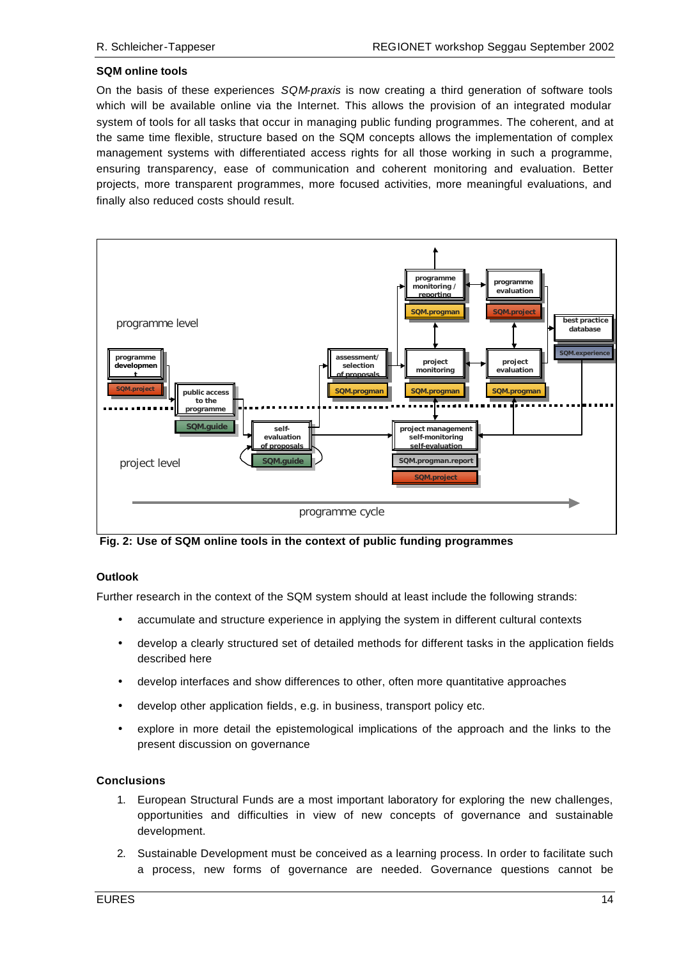#### **SQM online tools**

On the basis of these experiences *SQM-praxis* is now creating a third generation of software tools which will be available online via the Internet. This allows the provision of an integrated modular system of tools for all tasks that occur in managing public funding programmes. The coherent, and at the same time flexible, structure based on the SQM concepts allows the implementation of complex management systems with differentiated access rights for all those working in such a programme, ensuring transparency, ease of communication and coherent monitoring and evaluation. Better projects, more transparent programmes, more focused activities, more meaningful evaluations, and finally also reduced costs should result.



 **Fig. 2: Use of SQM online tools in the context of public funding programmes**

# **Outlook**

Further research in the context of the SQM system should at least include the following strands:

- accumulate and structure experience in applying the system in different cultural contexts
- develop a clearly structured set of detailed methods for different tasks in the application fields described here
- develop interfaces and show differences to other, often more quantitative approaches
- develop other application fields, e.g. in business, transport policy etc.
- explore in more detail the epistemological implications of the approach and the links to the present discussion on governance

#### **Conclusions**

- 1. European Structural Funds are a most important laboratory for exploring the new challenges, opportunities and difficulties in view of new concepts of governance and sustainable development.
- 2. Sustainable Development must be conceived as a learning process. In order to facilitate such a process, new forms of governance are needed. Governance questions cannot be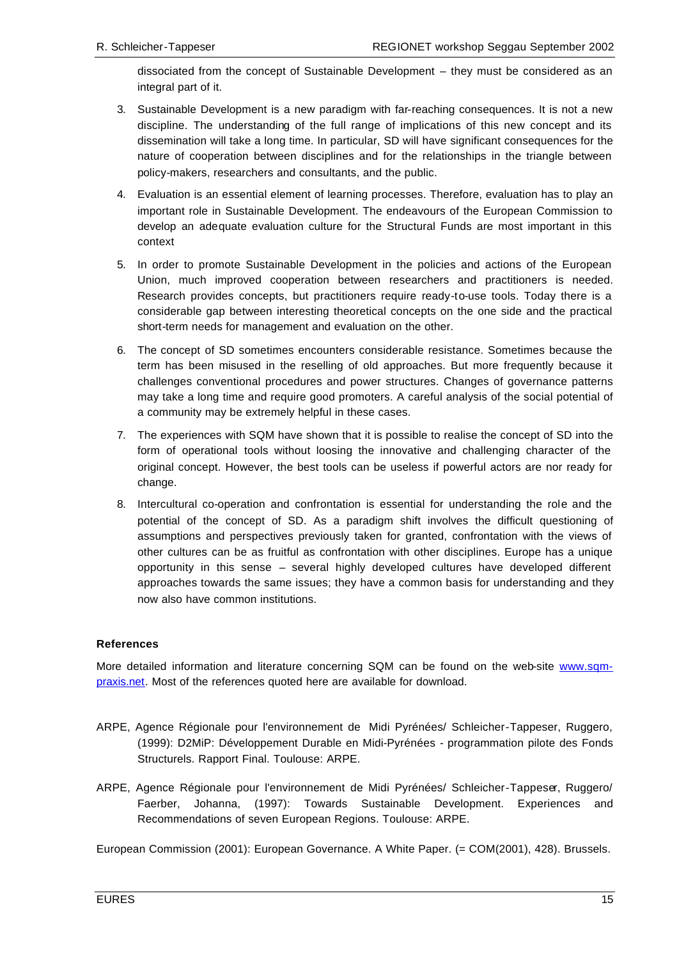dissociated from the concept of Sustainable Development – they must be considered as an integral part of it.

- 3. Sustainable Development is a new paradigm with far-reaching consequences. It is not a new discipline. The understanding of the full range of implications of this new concept and its dissemination will take a long time. In particular, SD will have significant consequences for the nature of cooperation between disciplines and for the relationships in the triangle between policy-makers, researchers and consultants, and the public.
- 4. Evaluation is an essential element of learning processes. Therefore, evaluation has to play an important role in Sustainable Development. The endeavours of the European Commission to develop an adequate evaluation culture for the Structural Funds are most important in this context
- 5. In order to promote Sustainable Development in the policies and actions of the European Union, much improved cooperation between researchers and practitioners is needed. Research provides concepts, but practitioners require ready-to-use tools. Today there is a considerable gap between interesting theoretical concepts on the one side and the practical short-term needs for management and evaluation on the other.
- 6. The concept of SD sometimes encounters considerable resistance. Sometimes because the term has been misused in the reselling of old approaches. But more frequently because it challenges conventional procedures and power structures. Changes of governance patterns may take a long time and require good promoters. A careful analysis of the social potential of a community may be extremely helpful in these cases.
- 7. The experiences with SQM have shown that it is possible to realise the concept of SD into the form of operational tools without loosing the innovative and challenging character of the original concept. However, the best tools can be useless if powerful actors are nor ready for change.
- 8. Intercultural co-operation and confrontation is essential for understanding the role and the potential of the concept of SD. As a paradigm shift involves the difficult questioning of assumptions and perspectives previously taken for granted, confrontation with the views of other cultures can be as fruitful as confrontation with other disciplines. Europe has a unique opportunity in this sense – several highly developed cultures have developed different approaches towards the same issues; they have a common basis for understanding and they now also have common institutions.

# **References**

More detailed information and literature concerning SQM can be found on the web-site www.sqmpraxis.net. Most of the references quoted here are available for download.

- ARPE, Agence Régionale pour l'environnement de Midi Pyrénées/ Schleicher-Tappeser, Ruggero, (1999): D2MiP: Développement Durable en Midi-Pyrénées - programmation pilote des Fonds Structurels. Rapport Final. Toulouse: ARPE.
- ARPE, Agence Régionale pour l'environnement de Midi Pyrénées/ Schleicher-Tappeser, Ruggero/ Faerber, Johanna, (1997): Towards Sustainable Development. Experiences and Recommendations of seven European Regions. Toulouse: ARPE.

European Commission (2001): European Governance. A White Paper. (= COM(2001), 428). Brussels.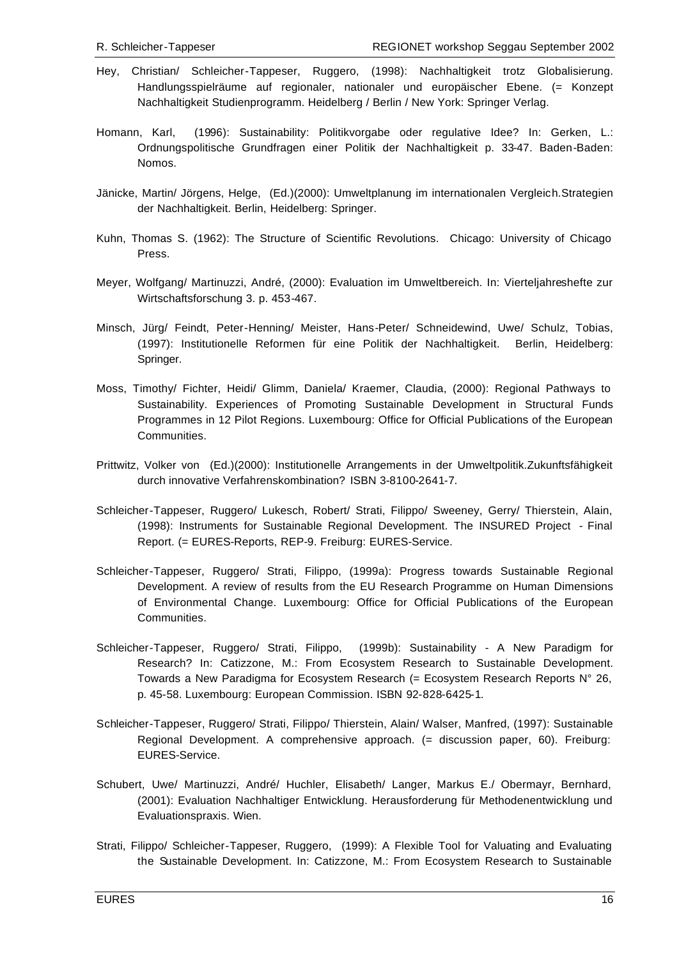- Hey, Christian/ Schleicher-Tappeser, Ruggero, (1998): Nachhaltigkeit trotz Globalisierung. Handlungsspielräume auf regionaler, nationaler und europäischer Ebene. (= Konzept Nachhaltigkeit Studienprogramm. Heidelberg / Berlin / New York: Springer Verlag.
- Homann, Karl, (1996): Sustainability: Politikvorgabe oder regulative Idee? In: Gerken, L.: Ordnungspolitische Grundfragen einer Politik der Nachhaltigkeit p. 33-47. Baden-Baden: Nomos.
- Jänicke, Martin/ Jörgens, Helge, (Ed.)(2000): Umweltplanung im internationalen Vergleich.Strategien der Nachhaltigkeit. Berlin, Heidelberg: Springer.
- Kuhn, Thomas S. (1962): The Structure of Scientific Revolutions. Chicago: University of Chicago Press.
- Meyer, Wolfgang/ Martinuzzi, André, (2000): Evaluation im Umweltbereich. In: Vierteljahreshefte zur Wirtschaftsforschung 3. p. 453-467.
- Minsch, Jürg/ Feindt, Peter-Henning/ Meister, Hans-Peter/ Schneidewind, Uwe/ Schulz, Tobias, (1997): Institutionelle Reformen für eine Politik der Nachhaltigkeit. Berlin, Heidelberg: Springer.
- Moss, Timothy/ Fichter, Heidi/ Glimm, Daniela/ Kraemer, Claudia, (2000): Regional Pathways to Sustainability. Experiences of Promoting Sustainable Development in Structural Funds Programmes in 12 Pilot Regions. Luxembourg: Office for Official Publications of the European Communities.
- Prittwitz, Volker von (Ed.)(2000): Institutionelle Arrangements in der Umweltpolitik.Zukunftsfähigkeit durch innovative Verfahrenskombination? ISBN 3-8100-2641-7.
- Schleicher-Tappeser, Ruggero/ Lukesch, Robert/ Strati, Filippo/ Sweeney, Gerry/ Thierstein, Alain, (1998): Instruments for Sustainable Regional Development. The INSURED Project - Final Report. (= EURES-Reports, REP-9. Freiburg: EURES-Service.
- Schleicher-Tappeser, Ruggero/ Strati, Filippo, (1999a): Progress towards Sustainable Regional Development. A review of results from the EU Research Programme on Human Dimensions of Environmental Change. Luxembourg: Office for Official Publications of the European Communities.
- Schleicher-Tappeser, Ruggero/ Strati, Filippo, (1999b): Sustainability A New Paradigm for Research? In: Catizzone, M.: From Ecosystem Research to Sustainable Development. Towards a New Paradigma for Ecosystem Research (= Ecosystem Research Reports  $N^{\circ}$  26, p. 45-58. Luxembourg: European Commission. ISBN 92-828-6425-1.
- Schleicher-Tappeser, Ruggero/ Strati, Filippo/ Thierstein, Alain/ Walser, Manfred, (1997): Sustainable Regional Development. A comprehensive approach. (= discussion paper, 60). Freiburg: EURES-Service.
- Schubert, Uwe/ Martinuzzi, André/ Huchler, Elisabeth/ Langer, Markus E./ Obermayr, Bernhard, (2001): Evaluation Nachhaltiger Entwicklung. Herausforderung für Methodenentwicklung und Evaluationspraxis. Wien.
- Strati, Filippo/ Schleicher-Tappeser, Ruggero, (1999): A Flexible Tool for Valuating and Evaluating the Sustainable Development. In: Catizzone, M.: From Ecosystem Research to Sustainable